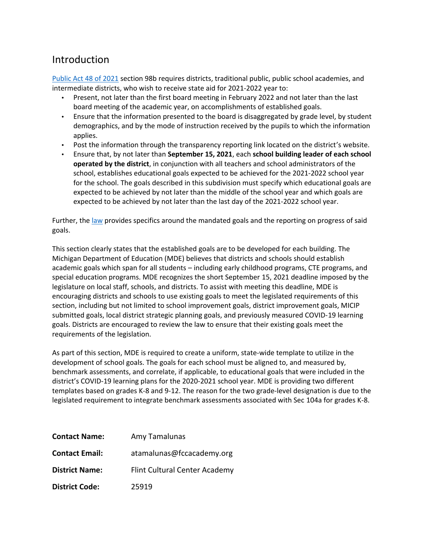### Introduction

Public Act 48 of 2021 section 98b requires districts, traditional public, public school academies, and intermediate districts, who wish to receive state aid for 2021-2022 year to:

- Present, not later than the first board meeting in February 2022 and not later than the last board meeting of the academic year, on accomplishments of established goals.
- Ensure that the information presented to the board is disaggregated by grade level, by student demographics, and by the mode of instruction received by the pupils to which the information applies.
- Post the information through the transparency reporting link located on the district's website.
- Ensure that, by not later than **September 15, 2021**, each **school building leader of each school operated by the district**, in conjunction with all teachers and school administrators of the school, establishes educational goals expected to be achieved for the 2021-2022 school year for the school. The goals described in this subdivision must specify which educational goals are expected to be achieved by not later than the middle of the school year and which goals are expected to be achieved by not later than the last day of the 2021-2022 school year.

Further, the law provides specifics around the mandated goals and the reporting on progress of said goals.

This section clearly states that the established goals are to be developed for each building. The Michigan Department of Education (MDE) believes that districts and schools should establish academic goals which span for all students – including early childhood programs, CTE programs, and special education programs. MDE recognizes the short September 15, 2021 deadline imposed by the legislature on local staff, schools, and districts. To assist with meeting this deadline, MDE is encouraging districts and schools to use existing goals to meet the legislated requirements of this section, including but not limited to school improvement goals, district improvement goals, MICIP submitted goals, local district strategic planning goals, and previously measured COVID-19 learning goals. Districts are encouraged to review the law to ensure that their existing goals meet the requirements of the legislation.

As part of this section, MDE is required to create a uniform, state-wide template to utilize in the development of school goals. The goals for each school must be aligned to, and measured by, benchmark assessments, and correlate, if applicable, to educational goals that were included in the district's COVID-19 learning plans for the 2020-2021 school year. MDE is providing two different templates based on grades K-8 and 9-12. The reason for the two grade-level designation is due to the legislated requirement to integrate benchmark assessments associated with Sec 104a for grades K-8.

| <b>Contact Name:</b>  | Amy Tamalunas                 |
|-----------------------|-------------------------------|
| <b>Contact Email:</b> | atamalunas@fccacademy.org     |
| <b>District Name:</b> | Flint Cultural Center Academy |
| <b>District Code:</b> | 25919                         |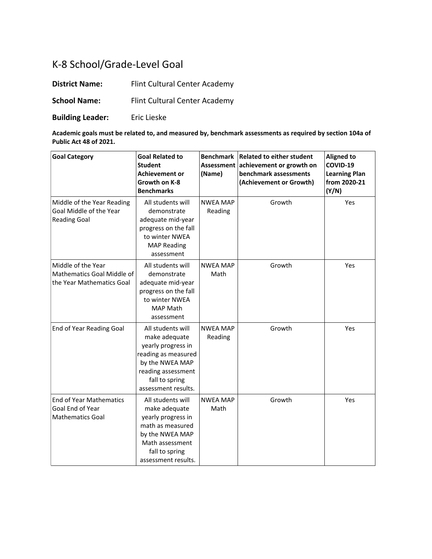# K-8 School/Grade-Level Goal

**District Name:** Flint Cultural Center Academy

**School Name:** Flint Cultural Center Academy

**Building Leader:** Eric Lieske

**Academic goals must be related to, and measured by, benchmark assessments as required by section 104a of Public Act 48 of 2021.**

| <b>Goal Category</b>                                                          | <b>Goal Related to</b><br><b>Student</b><br><b>Achievement or</b><br>Growth on K-8<br><b>Benchmarks</b>                                                           | Assessment<br>(Name)       | Benchmark   Related to either student<br>achievement or growth on<br>benchmark assessments<br>(Achievement or Growth) | <b>Aligned to</b><br>COVID-19<br><b>Learning Plan</b><br>from 2020-21<br>(Y/N) |
|-------------------------------------------------------------------------------|-------------------------------------------------------------------------------------------------------------------------------------------------------------------|----------------------------|-----------------------------------------------------------------------------------------------------------------------|--------------------------------------------------------------------------------|
| Middle of the Year Reading<br>Goal Middle of the Year<br><b>Reading Goal</b>  | All students will<br>demonstrate<br>adequate mid-year<br>progress on the fall<br>to winter NWEA<br><b>MAP Reading</b><br>assessment                               | <b>NWEA MAP</b><br>Reading | Growth                                                                                                                | Yes                                                                            |
| Middle of the Year<br>Mathematics Goal Middle of<br>the Year Mathematics Goal | All students will<br>demonstrate<br>adequate mid-year<br>progress on the fall<br>to winter NWEA<br><b>MAP Math</b><br>assessment                                  | <b>NWEA MAP</b><br>Math    | Growth                                                                                                                | Yes                                                                            |
| End of Year Reading Goal                                                      | All students will<br>make adequate<br>yearly progress in<br>reading as measured<br>by the NWEA MAP<br>reading assessment<br>fall to spring<br>assessment results. | <b>NWEA MAP</b><br>Reading | Growth                                                                                                                | Yes                                                                            |
| End of Year Mathematics<br>Goal End of Year<br><b>Mathematics Goal</b>        | All students will<br>make adequate<br>yearly progress in<br>math as measured<br>by the NWEA MAP<br>Math assessment<br>fall to spring<br>assessment results.       | <b>NWEA MAP</b><br>Math    | Growth                                                                                                                | Yes                                                                            |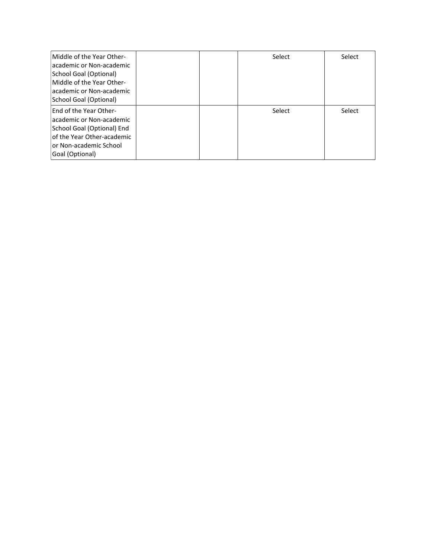| Middle of the Year Other-<br>academic or Non-academic<br>School Goal (Optional)<br>Middle of the Year Other-<br>academic or Non-academic<br>School Goal (Optional) |  | Select | Select |
|--------------------------------------------------------------------------------------------------------------------------------------------------------------------|--|--------|--------|
| <b>End of the Year Other-</b><br>academic or Non-academic<br>School Goal (Optional) End<br>of the Year Other-academic<br>or Non-academic School<br>Goal (Optional) |  | Select | Select |